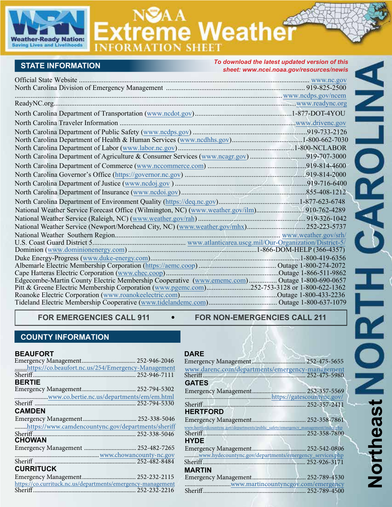

# **reme Weathe**

## **STATE INFORMATION**

| <b>STATE INFORMATION</b>                                                                                                                                                                     | To download the latest updated version of this<br>sheet: www.ncei.noaa.gov/resources/newis |  |
|----------------------------------------------------------------------------------------------------------------------------------------------------------------------------------------------|--------------------------------------------------------------------------------------------|--|
|                                                                                                                                                                                              |                                                                                            |  |
|                                                                                                                                                                                              |                                                                                            |  |
|                                                                                                                                                                                              |                                                                                            |  |
|                                                                                                                                                                                              |                                                                                            |  |
|                                                                                                                                                                                              |                                                                                            |  |
|                                                                                                                                                                                              |                                                                                            |  |
|                                                                                                                                                                                              |                                                                                            |  |
|                                                                                                                                                                                              |                                                                                            |  |
|                                                                                                                                                                                              |                                                                                            |  |
| North Carolina Department of Agriculture & Consumer Services (www.ncagr.gov)919-707-3000                                                                                                     |                                                                                            |  |
|                                                                                                                                                                                              |                                                                                            |  |
|                                                                                                                                                                                              |                                                                                            |  |
|                                                                                                                                                                                              |                                                                                            |  |
|                                                                                                                                                                                              |                                                                                            |  |
|                                                                                                                                                                                              |                                                                                            |  |
|                                                                                                                                                                                              |                                                                                            |  |
|                                                                                                                                                                                              |                                                                                            |  |
|                                                                                                                                                                                              |                                                                                            |  |
|                                                                                                                                                                                              |                                                                                            |  |
|                                                                                                                                                                                              |                                                                                            |  |
|                                                                                                                                                                                              |                                                                                            |  |
|                                                                                                                                                                                              |                                                                                            |  |
|                                                                                                                                                                                              |                                                                                            |  |
| Edgecombe-Martin County Electric Membership Cooperative (www.ememc.com) Outage 1-800-690-0657<br>Pitt & Greene Electric Membership Corporation (www.pgemc.com)252-753-3128 or 1-800-622-1362 |                                                                                            |  |
|                                                                                                                                                                                              |                                                                                            |  |
|                                                                                                                                                                                              |                                                                                            |  |
|                                                                                                                                                                                              |                                                                                            |  |

FOR EMERGENCIES CALL 911  $\bullet$  FOR NON-EMERGENCIES CALL 211

## **COUNTY INFORMATION**

#### **BEAUFORT**

| https://co.beaufort.nc.us/254/Emergency-Management          |
|-------------------------------------------------------------|
|                                                             |
|                                                             |
|                                                             |
| www.co.bertie.nc.us/departments/em/em.html                  |
|                                                             |
|                                                             |
|                                                             |
| https://www.camdencountync.gov/departments/sheriff          |
|                                                             |
|                                                             |
| Emergency Management  252-482-7265                          |
|                                                             |
|                                                             |
|                                                             |
|                                                             |
| https://co.currituck.nc.us/departments/emergency-management |
|                                                             |
|                                                             |

#### **DARE**

| www.darenc.com/departments/emergency-management                                   |  |
|-----------------------------------------------------------------------------------|--|
|                                                                                   |  |
| <b>GATES</b>                                                                      |  |
|                                                                                   |  |
|                                                                                   |  |
|                                                                                   |  |
| <b>HERTFORD</b>                                                                   |  |
|                                                                                   |  |
| www.hertfordcountync.gov/departments/public_safety/emergency_management/index.php |  |
|                                                                                   |  |
| <b>HYDE</b>                                                                       |  |
|                                                                                   |  |
| www.hydecountync.gov/departments/emergency_services.php                           |  |
|                                                                                   |  |
|                                                                                   |  |
| <b>MARTIN</b>                                                                     |  |
|                                                                                   |  |
|                                                                                   |  |